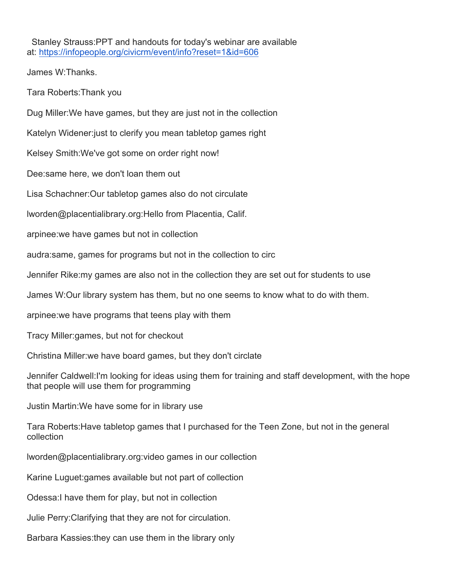Stanley Strauss:PPT and handouts for today's webinar are available at: https://infopeople.org/civicrm/event/info?reset=1&id=606

James W:Thanks.

Tara Roberts:Thank you

Dug Miller:We have games, but they are just not in the collection

Katelyn Widener:just to clerify you mean tabletop games right

Kelsey Smith:We've got some on order right now!

Dee:same here, we don't loan them out

Lisa Schachner:Our tabletop games also do not circulate

lworden@placentialibrary.org:Hello from Placentia, Calif.

arpinee:we have games but not in collection

audra:same, games for programs but not in the collection to circ

Jennifer Rike:my games are also not in the collection they are set out for students to use

James W:Our library system has them, but no one seems to know what to do with them.

arpinee:we have programs that teens play with them

Tracy Miller:games, but not for checkout

Christina Miller:we have board games, but they don't circlate

Jennifer Caldwell:I'm looking for ideas using them for training and staff development, with the hope that people will use them for programming

Justin Martin:We have some for in library use

Tara Roberts:Have tabletop games that I purchased for the Teen Zone, but not in the general collection

lworden@placentialibrary.org:video games in our collection

Karine Luguet:games available but not part of collection

Odessa:I have them for play, but not in collection

Julie Perry:Clarifying that they are not for circulation.

Barbara Kassies:they can use them in the library only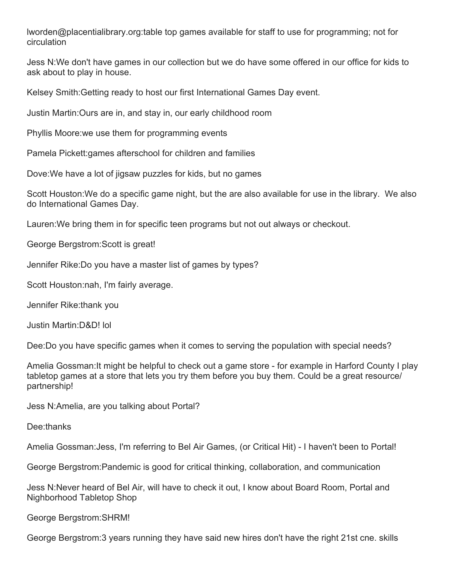lworden@placentialibrary.org:table top games available for staff to use for programming; not for circulation

Jess N:We don't have games in our collection but we do have some offered in our office for kids to ask about to play in house.

Kelsey Smith:Getting ready to host our first International Games Day event.

Justin Martin:Ours are in, and stay in, our early childhood room

Phyllis Moore:we use them for programming events

Pamela Pickett:games afterschool for children and families

Dove:We have a lot of jigsaw puzzles for kids, but no games

Scott Houston:We do a specific game night, but the are also available for use in the library. We also do International Games Day.

Lauren:We bring them in for specific teen programs but not out always or checkout.

George Bergstrom:Scott is great!

Jennifer Rike:Do you have a master list of games by types?

Scott Houston:nah, I'm fairly average.

Jennifer Rike:thank you

Justin Martin:D&D! lol

Dee:Do you have specific games when it comes to serving the population with special needs?

Amelia Gossman:It might be helpful to check out a game store - for example in Harford County I play tabletop games at a store that lets you try them before you buy them. Could be a great resource/ partnership!

Jess N:Amelia, are you talking about Portal?

Dee:thanks

Amelia Gossman:Jess, I'm referring to Bel Air Games, (or Critical Hit) - I haven't been to Portal!

George Bergstrom:Pandemic is good for critical thinking, collaboration, and communication

Jess N:Never heard of Bel Air, will have to check it out, I know about Board Room, Portal and Nighborhood Tabletop Shop

George Bergstrom:SHRM!

George Bergstrom:3 years running they have said new hires don't have the right 21st cne. skills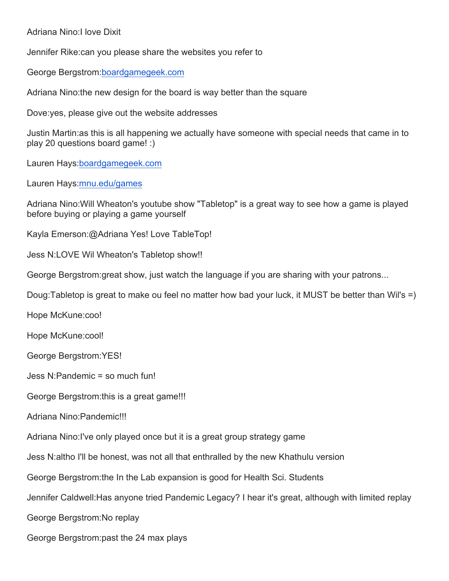## Adriana Nino:I love Dixit

Jennifer Rike:can you please share the websites you refer to

George Bergstrom:boardgamegeek.com

Adriana Nino:the new design for the board is way better than the square

Dove:yes, please give out the website addresses

Justin Martin:as this is all happening we actually have someone with special needs that came in to play 20 questions board game! :)

Lauren Hays:boardgamegeek.com

Lauren Hays:mnu.edu/games

Adriana Nino:Will Wheaton's youtube show "Tabletop" is a great way to see how a game is played before buying or playing a game yourself

Kayla Emerson:@Adriana Yes! Love TableTop!

Jess N:LOVE Wil Wheaton's Tabletop show!!

George Bergstrom:great show, just watch the language if you are sharing with your patrons...

Doug:Tabletop is great to make ou feel no matter how bad your luck, it MUST be better than Wil's =)

Hope McKune:coo!

Hope McKune:cool!

George Bergstrom:YES!

Jess N:Pandemic = so much fun!

George Bergstrom:this is a great game!!!

Adriana Nino:Pandemic!!!

Adriana Nino:I've only played once but it is a great group strategy game

Jess N:altho I'll be honest, was not all that enthralled by the new Khathulu version

George Bergstrom:the In the Lab expansion is good for Health Sci. Students

Jennifer Caldwell:Has anyone tried Pandemic Legacy? I hear it's great, although with limited replay

George Bergstrom:No replay

George Bergstrom:past the 24 max plays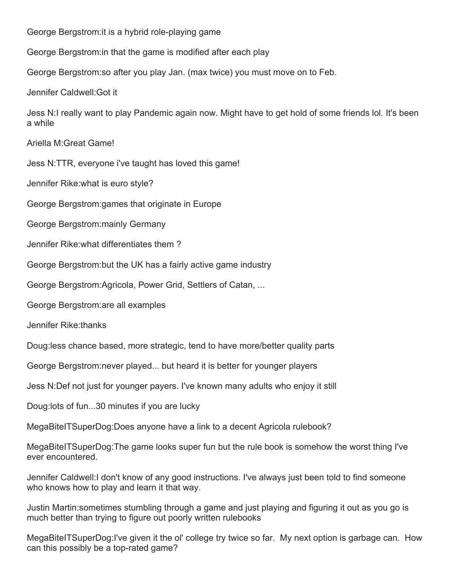George Bergstrom:it is a hybrid role-playing game

George Bergstrom:in that the game is modified after each play

George Bergstrom:so after you play Jan. (max twice) you must move on to Feb.

Jennifer Caldwell:Got it

Jess N:I really want to play Pandemic again now. Might have to get hold of some friends lol. It's been a while

Ariella M:Great Game!

Jess N:TTR, everyone i've taught has loved this game!

Jennifer Rike:what is euro style?

George Bergstrom:games that originate in Europe

George Bergstrom:mainly Germany

Jennifer Rike:what differentiates them ?

George Bergstrom:but the UK has a fairly active game industry

George Bergstrom:Agricola, Power Grid, Settlers of Catan, ...

George Bergstrom:are all examples

Jennifer Rike:thanks

Doug:less chance based, more strategic, tend to have more/better quality parts

George Bergstrom:never played... but heard it is better for younger players

Jess N:Def not just for younger payers. I've known many adults who enjoy it still

Doug:lots of fun...30 minutes if you are lucky

MegaBiteITSuperDog:Does anyone have a link to a decent Agricola rulebook?

MegaBiteITSuperDog:The game looks super fun but the rule book is somehow the worst thing I've ever encountered.

Jennifer Caldwell:I don't know of any good instructions. I've always just been told to find someone who knows how to play and learn it that way.

Justin Martin:sometimes stumbling through a game and just playing and figuring it out as you go is much better than trying to figure out poorly written rulebooks

MegaBiteITSuperDog:I've given it the ol' college try twice so far. My next option is garbage can. How can this possibly be a top-rated game?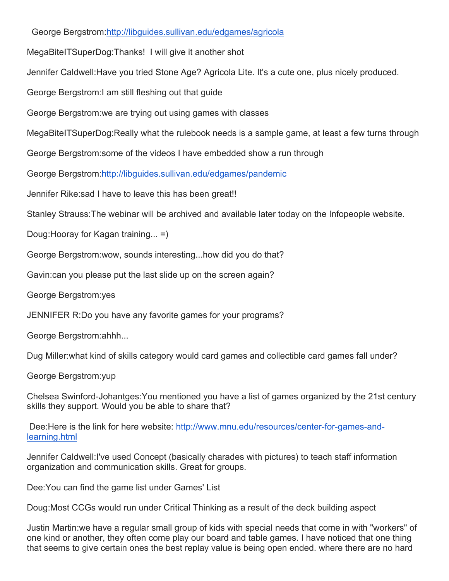George Bergstrom:http://libguides.sullivan.edu/edgames/agricola

MegaBiteITSuperDog:Thanks! I will give it another shot

Jennifer Caldwell:Have you tried Stone Age? Agricola Lite. It's a cute one, plus nicely produced.

George Bergstrom:I am still fleshing out that guide

George Bergstrom:we are trying out using games with classes

MegaBiteITSuperDog:Really what the rulebook needs is a sample game, at least a few turns through

George Bergstrom:some of the videos I have embedded show a run through

George Bergstrom:http://libguides.sullivan.edu/edgames/pandemic

Jennifer Rike:sad I have to leave this has been great!!

Stanley Strauss:The webinar will be archived and available later today on the Infopeople website.

Doug:Hooray for Kagan training... =)

George Bergstrom:wow, sounds interesting...how did you do that?

Gavin:can you please put the last slide up on the screen again?

George Bergstrom:yes

JENNIFER R:Do you have any favorite games for your programs?

George Bergstrom:ahhh...

Dug Miller:what kind of skills category would card games and collectible card games fall under?

George Bergstrom:yup

Chelsea Swinford-Johantges:You mentioned you have a list of games organized by the 21st century skills they support. Would you be able to share that?

Dee:Here is the link for here website: http://www.mnu.edu/resources/center-for-games-andlearning.html

Jennifer Caldwell:I've used Concept (basically charades with pictures) to teach staff information organization and communication skills. Great for groups.

Dee:You can find the game list under Games' List

Doug:Most CCGs would run under Critical Thinking as a result of the deck building aspect

Justin Martin:we have a regular small group of kids with special needs that come in with "workers" of one kind or another, they often come play our board and table games. I have noticed that one thing that seems to give certain ones the best replay value is being open ended. where there are no hard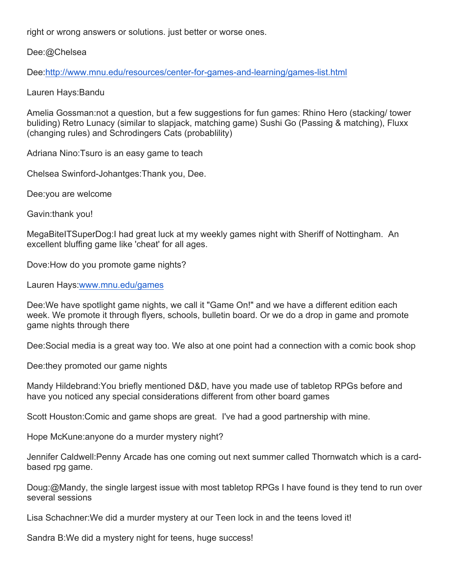right or wrong answers or solutions. just better or worse ones.

Dee:@Chelsea

Dee:http://www.mnu.edu/resources/center-for-games-and-learning/games-list.html

Lauren Hays:Bandu

Amelia Gossman:not a question, but a few suggestions for fun games: Rhino Hero (stacking/ tower buliding) Retro Lunacy (similar to slapjack, matching game) Sushi Go (Passing & matching), Fluxx (changing rules) and Schrodingers Cats (probablility)

Adriana Nino:Tsuro is an easy game to teach

Chelsea Swinford-Johantges:Thank you, Dee.

Dee:you are welcome

Gavin:thank you!

MegaBiteITSuperDog:I had great luck at my weekly games night with Sheriff of Nottingham. An excellent bluffing game like 'cheat' for all ages.

Dove:How do you promote game nights?

Lauren Hays:www.mnu.edu/games

Dee:We have spotlight game nights, we call it "Game On!" and we have a different edition each week. We promote it through flyers, schools, bulletin board. Or we do a drop in game and promote game nights through there

Dee:Social media is a great way too. We also at one point had a connection with a comic book shop

Dee:they promoted our game nights

Mandy Hildebrand:You briefly mentioned D&D, have you made use of tabletop RPGs before and have you noticed any special considerations different from other board games

Scott Houston:Comic and game shops are great. I've had a good partnership with mine.

Hope McKune:anyone do a murder mystery night?

Jennifer Caldwell:Penny Arcade has one coming out next summer called Thornwatch which is a cardbased rpg game.

Doug:@Mandy, the single largest issue with most tabletop RPGs I have found is they tend to run over several sessions

Lisa Schachner:We did a murder mystery at our Teen lock in and the teens loved it!

Sandra B:We did a mystery night for teens, huge success!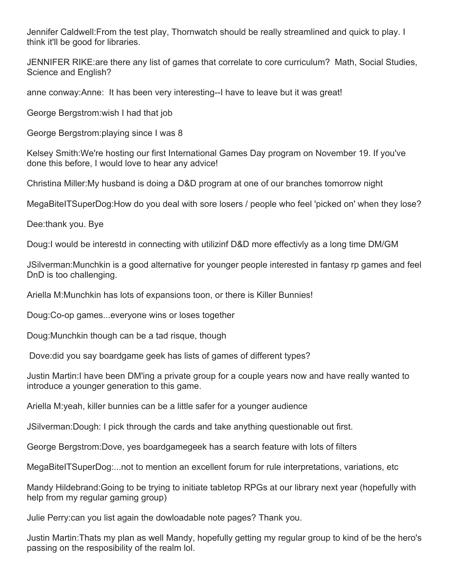Jennifer Caldwell:From the test play, Thornwatch should be really streamlined and quick to play. I think it'll be good for libraries.

JENNIFER RIKE:are there any list of games that correlate to core curriculum? Math, Social Studies, Science and English?

anne conway:Anne: It has been very interesting--I have to leave but it was great!

George Bergstrom:wish I had that job

George Bergstrom:playing since I was 8

Kelsey Smith:We're hosting our first International Games Day program on November 19. If you've done this before, I would love to hear any advice!

Christina Miller:My husband is doing a D&D program at one of our branches tomorrow night

MegaBiteITSuperDog:How do you deal with sore losers / people who feel 'picked on' when they lose?

Dee:thank you. Bye

Doug:I would be interestd in connecting with utilizinf D&D more effectivly as a long time DM/GM

JSilverman:Munchkin is a good alternative for younger people interested in fantasy rp games and feel DnD is too challenging.

Ariella M:Munchkin has lots of expansions toon, or there is Killer Bunnies!

Doug:Co-op games...everyone wins or loses together

Doug:Munchkin though can be a tad risque, though

Dove:did you say boardgame geek has lists of games of different types?

Justin Martin:I have been DM'ing a private group for a couple years now and have really wanted to introduce a younger generation to this game.

Ariella M:yeah, killer bunnies can be a little safer for a younger audience

JSilverman:Dough: I pick through the cards and take anything questionable out first.

George Bergstrom:Dove, yes boardgamegeek has a search feature with lots of filters

MegaBiteITSuperDog:...not to mention an excellent forum for rule interpretations, variations, etc

Mandy Hildebrand:Going to be trying to initiate tabletop RPGs at our library next year (hopefully with help from my regular gaming group)

Julie Perry:can you list again the dowloadable note pages? Thank you.

Justin Martin:Thats my plan as well Mandy, hopefully getting my regular group to kind of be the hero's passing on the resposibility of the realm lol.